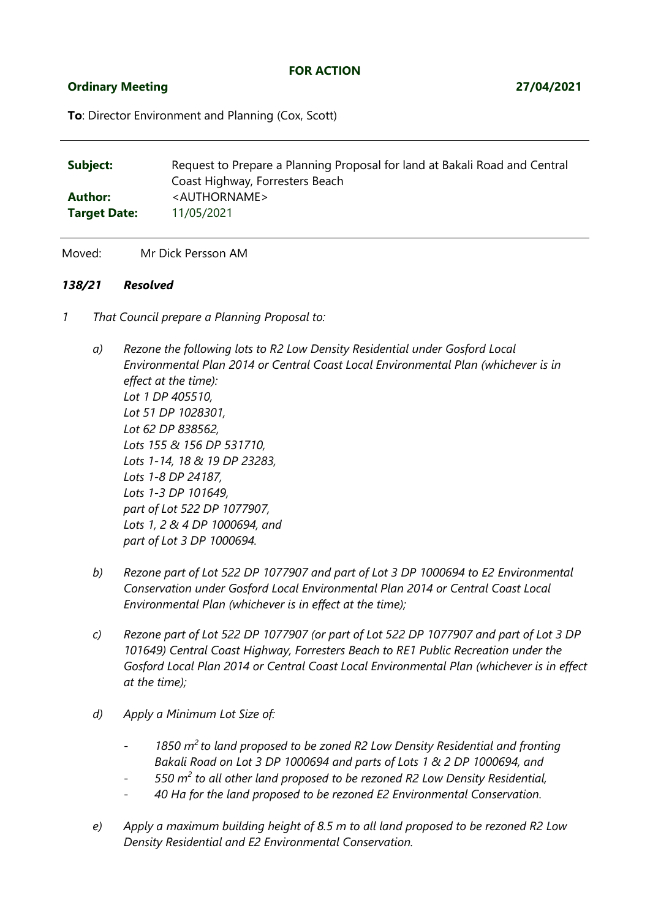## **FOR ACTION**

## **Ordinary Meeting 27/04/2021**

**To**: Director Environment and Planning (Cox, Scott)

| Subject:            | Request to Prepare a Planning Proposal for land at Bakali Road and Central<br>Coast Highway, Forresters Beach |
|---------------------|---------------------------------------------------------------------------------------------------------------|
| Author:             | <authorname></authorname>                                                                                     |
| <b>Target Date:</b> | 11/05/2021                                                                                                    |

Moved: Mr Dick Persson AM

## *138/21 Resolved*

- *1 That Council prepare a Planning Proposal to:*
	- *a) Rezone the following lots to R2 Low Density Residential under Gosford Local Environmental Plan 2014 or Central Coast Local Environmental Plan (whichever is in effect at the time): Lot 1 DP 405510, Lot 51 DP 1028301, Lot 62 DP 838562, Lots 155 & 156 DP 531710, Lots 1-14, 18 & 19 DP 23283, Lots 1-8 DP 24187, Lots 1-3 DP 101649, part of Lot 522 DP 1077907, Lots 1, 2 & 4 DP 1000694, and part of Lot 3 DP 1000694.*
	- *b) Rezone part of Lot 522 DP 1077907 and part of Lot 3 DP 1000694 to E2 Environmental Conservation under Gosford Local Environmental Plan 2014 or Central Coast Local Environmental Plan (whichever is in effect at the time);*
	- *c) Rezone part of Lot 522 DP 1077907 (or part of Lot 522 DP 1077907 and part of Lot 3 DP 101649) Central Coast Highway, Forresters Beach to RE1 Public Recreation under the Gosford Local Plan 2014 or Central Coast Local Environmental Plan (whichever is in effect at the time);*
	- *d) Apply a Minimum Lot Size of:*
		- *1850 m<sup>2</sup>to land proposed to be zoned R2 Low Density Residential and fronting Bakali Road on Lot 3 DP 1000694 and parts of Lots 1 & 2 DP 1000694, and*
		- *550 m<sup>2</sup> to all other land proposed to be rezoned R2 Low Density Residential,*
		- *40 Ha for the land proposed to be rezoned E2 Environmental Conservation.*
	- *e) Apply a maximum building height of 8.5 m to all land proposed to be rezoned R2 Low Density Residential and E2 Environmental Conservation.*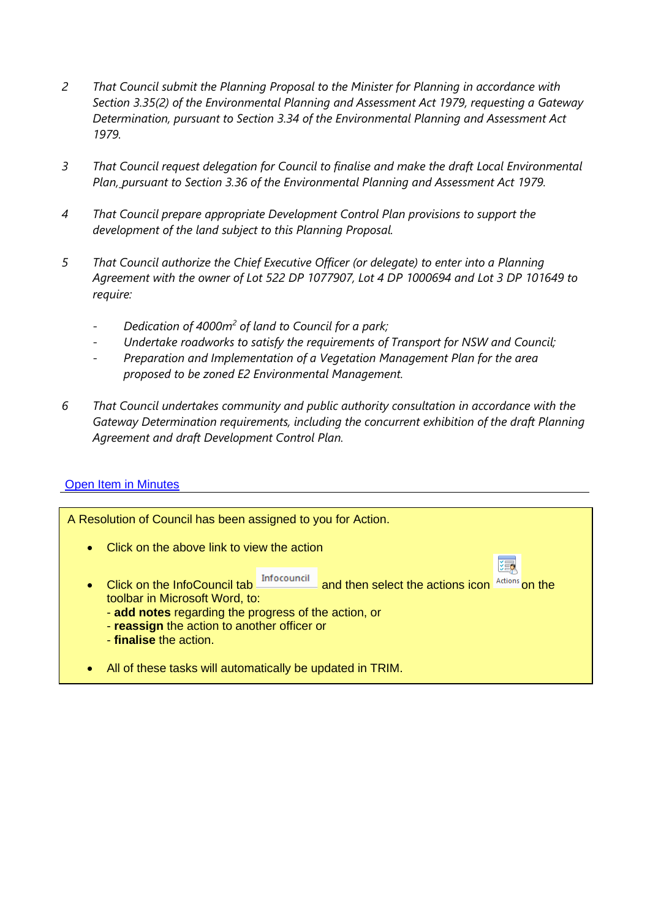- *2 That Council submit the Planning Proposal to the Minister for Planning in accordance with Section 3.35(2) of the Environmental Planning and Assessment Act 1979, requesting a Gateway Determination, pursuant to Section 3.34 of the Environmental Planning and Assessment Act 1979.*
- *3 That Council request delegation for Council to finalise and make the draft Local Environmental Plan, pursuant to Section 3.36 of the Environmental Planning and Assessment Act 1979.*
- *4 That Council prepare appropriate Development Control Plan provisions to support the development of the land subject to this Planning Proposal.*
- *5 That Council authorize the Chief Executive Officer (or delegate) to enter into a Planning Agreement with the owner of Lot 522 DP 1077907, Lot 4 DP 1000694 and Lot 3 DP 101649 to require:*
	- *Dedication of 4000m<sup>2</sup> of land to Council for a park;*
	- *Undertake roadworks to satisfy the requirements of Transport for NSW and Council;*
	- *Preparation and Implementation of a Vegetation Management Plan for the area proposed to be zoned E2 Environmental Management.*
- *6 That Council undertakes community and public authority consultation in accordance with the Gateway Determination requirements, including the concurrent exhibition of the draft Planning Agreement and draft Development Control Plan.*

## [Open Item in Minutes](infocouncilrun:OpenDocument?//wscsvr1/corpdata/AA-General/InfoCouncil/checkout/%3cLOGIN%3e/OC_27042021_MIN.DOCX?D14601934?PDF2_ReportName_25556)

| A Resolution of Council has been assigned to you for Action.                                                                                                                                                                                                                        |  |  |  |  |  |  |  |  |
|-------------------------------------------------------------------------------------------------------------------------------------------------------------------------------------------------------------------------------------------------------------------------------------|--|--|--|--|--|--|--|--|
| Click on the above link to view the action<br>$\bullet$                                                                                                                                                                                                                             |  |  |  |  |  |  |  |  |
| 距<br>Infocouncil<br>and then select the actions icon Actions on the<br>Click on the InfoCouncil tab<br>$\bullet$<br>toolbar in Microsoft Word, to:<br>- add notes regarding the progress of the action, or<br>- reassign the action to another officer or<br>- finalise the action. |  |  |  |  |  |  |  |  |
| All of these tasks will automatically be updated in TRIM.<br>۰                                                                                                                                                                                                                      |  |  |  |  |  |  |  |  |